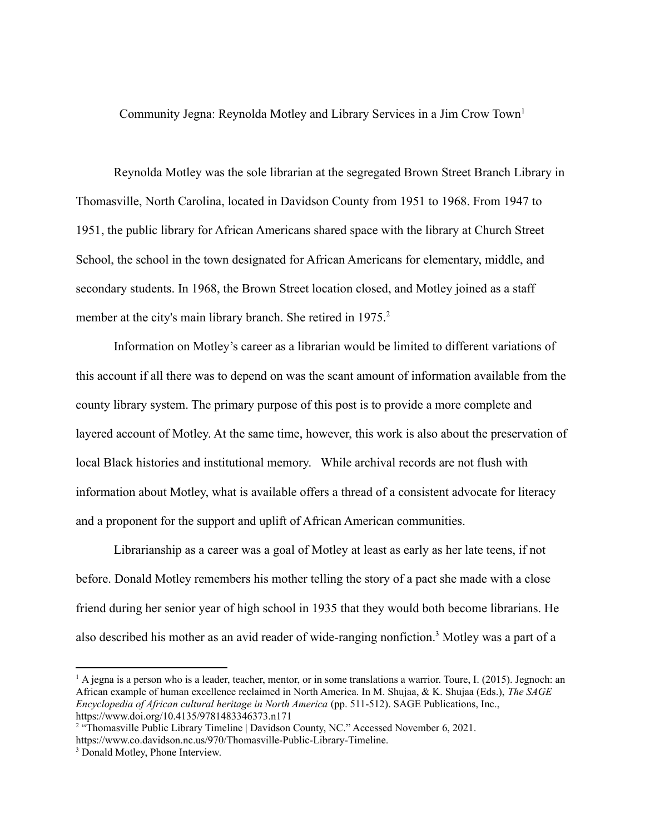Community Jegna: Reynolda Motley and Library Services in a Jim Crow Town<sup>1</sup>

Reynolda Motley was the sole librarian at the segregated Brown Street Branch Library in Thomasville, North Carolina, located in Davidson County from 1951 to 1968. From 1947 to 1951, the public library for African Americans shared space with the library at Church Street School, the school in the town designated for African Americans for elementary, middle, and secondary students. In 1968, the Brown Street location closed, and Motley joined as a staff member at the city's main library branch. She retired in 1975.<sup>2</sup>

Information on Motley's career as a librarian would be limited to different variations of this account if all there was to depend on was the scant amount of information available from the county library system. The primary purpose of this post is to provide a more complete and layered account of Motley. At the same time, however, this work is also about the preservation of local Black histories and institutional memory. While archival records are not flush with information about Motley, what is available offers a thread of a consistent advocate for literacy and a proponent for the support and uplift of African American communities.

Librarianship as a career was a goal of Motley at least as early as her late teens, if not before. Donald Motley remembers his mother telling the story of a pact she made with a close friend during her senior year of high school in 1935 that they would both become librarians. He also described his mother as an avid reader of wide-ranging nonfiction.<sup>3</sup> Motley was a part of a

 $1 A$  jegna is a person who is a leader, teacher, mentor, or in some translations a warrior. Toure, I. (2015). Jegnoch: an African example of human excellence reclaimed in North America. In M. Shujaa, & K. Shujaa (Eds.), *The SAGE Encyclopedia of African cultural heritage in North America* (pp. 511-512). SAGE Publications, Inc., https://www.doi.org/10.4135/9781483346373.n171

<sup>&</sup>lt;sup>2</sup> "Thomasville Public Library Timeline | Davidson County, NC." Accessed November 6, 2021. https://www.co.davidson.nc.us/970/Thomasville-Public-Library-Timeline.

<sup>3</sup> Donald Motley, Phone Interview.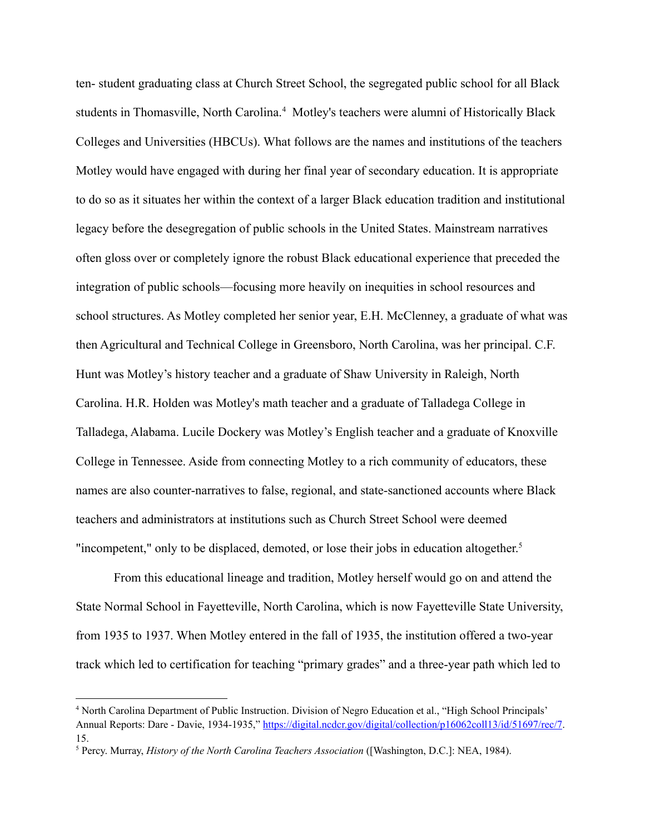ten- student graduating class at Church Street School, the segregated public school for all Black students in Thomasville, North Carolina.<sup>4</sup> Motley's teachers were alumni of Historically Black Colleges and Universities (HBCUs). What follows are the names and institutions of the teachers Motley would have engaged with during her final year of secondary education. It is appropriate to do so as it situates her within the context of a larger Black education tradition and institutional legacy before the desegregation of public schools in the United States. Mainstream narratives often gloss over or completely ignore the robust Black educational experience that preceded the integration of public schools—focusing more heavily on inequities in school resources and school structures. As Motley completed her senior year, E.H. McClenney, a graduate of what was then Agricultural and Technical College in Greensboro, North Carolina, was her principal. C.F. Hunt was Motley's history teacher and a graduate of Shaw University in Raleigh, North Carolina. H.R. Holden was Motley's math teacher and a graduate of Talladega College in Talladega, Alabama. Lucile Dockery was Motley's English teacher and a graduate of Knoxville College in Tennessee. Aside from connecting Motley to a rich community of educators, these names are also counter-narratives to false, regional, and state-sanctioned accounts where Black teachers and administrators at institutions such as Church Street School were deemed "incompetent," only to be displaced, demoted, or lose their jobs in education altogether.<sup>5</sup>

From this educational lineage and tradition, Motley herself would go on and attend the State Normal School in Fayetteville, North Carolina, which is now Fayetteville State University, from 1935 to 1937. When Motley entered in the fall of 1935, the institution offered a two-year track which led to certification for teaching "primary grades" and a three-year path which led to

<sup>4</sup> North Carolina Department of Public Instruction. Division of Negro Education et al., "High School Principals' Annual Reports: Dare - Davie, 1934-1935," [https://digital.ncdcr.gov/digital/collection/p16062coll13/id/51697/rec/7.](https://digital.ncdcr.gov/digital/collection/p16062coll13/id/51697/rec/7) 15.

<sup>5</sup> Percy. Murray, *History of the North Carolina Teachers Association* ([Washington, D.C.]: NEA, 1984).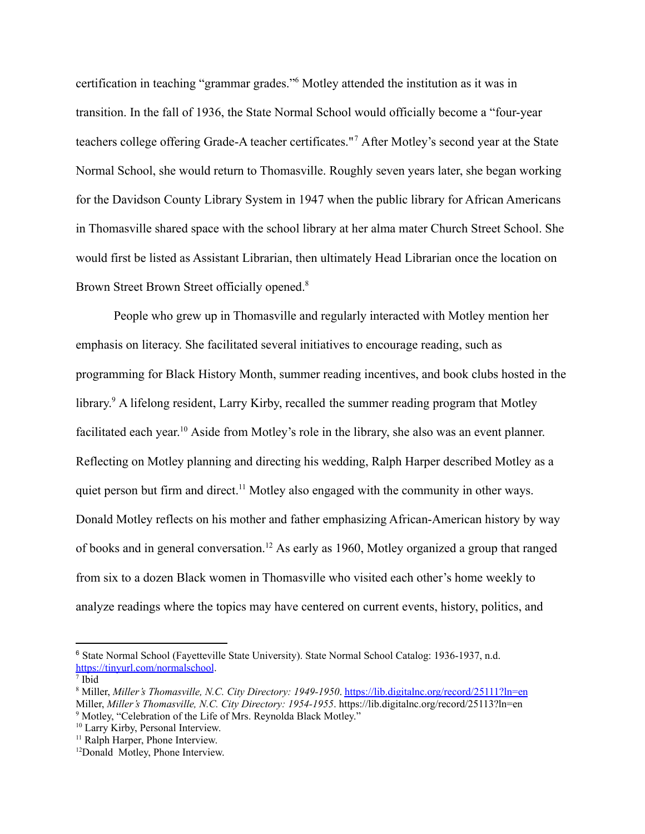certification in teaching "grammar grades."<sup>6</sup> Motley attended the institution as it was in transition. In the fall of 1936, the State Normal School would officially become a "four-year teachers college offering Grade-A teacher certificates."<sup>7</sup> After Motley's second year at the State Normal School, she would return to Thomasville. Roughly seven years later, she began working for the Davidson County Library System in 1947 when the public library for African Americans in Thomasville shared space with the school library at her alma mater Church Street School. She would first be listed as Assistant Librarian, then ultimately Head Librarian once the location on Brown Street Brown Street officially opened.<sup>8</sup>

People who grew up in Thomasville and regularly interacted with Motley mention her emphasis on literacy. She facilitated several initiatives to encourage reading, such as programming for Black History Month, summer reading incentives, and book clubs hosted in the library. <sup>9</sup> A lifelong resident, Larry Kirby, recalled the summer reading program that Motley facilitated each year.<sup>10</sup> Aside from Motley's role in the library, she also was an event planner. Reflecting on Motley planning and directing his wedding, Ralph Harper described Motley as a quiet person but firm and direct.<sup>11</sup> Motley also engaged with the community in other ways. Donald Motley reflects on his mother and father emphasizing African-American history by way of books and in general conversation.<sup>12</sup> As early as 1960, Motley organized a group that ranged from six to a dozen Black women in Thomasville who visited each other's home weekly to analyze readings where the topics may have centered on current events, history, politics, and

<sup>6</sup> State Normal School (Fayetteville State University). State Normal School Catalog: 1936-1937, n.d. <https://tinyurl.com/normalschool>.

<sup>7</sup> Ibid

<sup>&</sup>lt;sup>9</sup> Motley, "Celebration of the Life of Mrs. Reynolda Black Motley." <sup>8</sup> Miller, *Miller's Thomasville, N.C. City Directory: 1949-1950*. <https://lib.digitalnc.org/record/25111?ln=en> Miller, *Miller's Thomasville, N.C. City Directory: 1954-1955*. https://lib.digitalnc.org/record/25113?ln=en

<sup>&</sup>lt;sup>10</sup> Larry Kirby, Personal Interview.

<sup>&</sup>lt;sup>11</sup> Ralph Harper, Phone Interview.

<sup>&</sup>lt;sup>12</sup>Donald Motley, Phone Interview.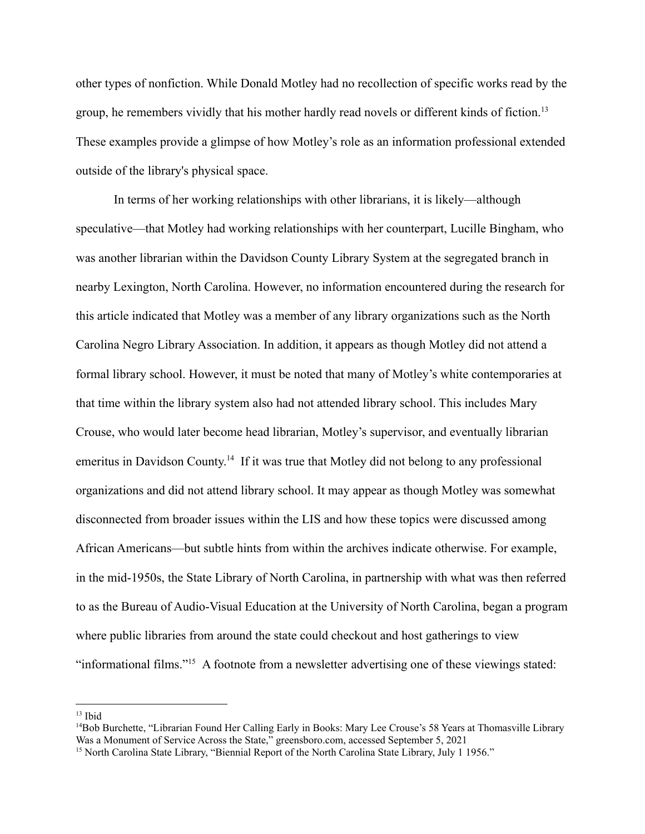other types of nonfiction. While Donald Motley had no recollection of specific works read by the group, he remembers vividly that his mother hardly read novels or different kinds of fiction.<sup>13</sup> These examples provide a glimpse of how Motley's role as an information professional extended outside of the library's physical space.

In terms of her working relationships with other librarians, it is likely—although speculative—that Motley had working relationships with her counterpart, Lucille Bingham, who was another librarian within the Davidson County Library System at the segregated branch in nearby Lexington, North Carolina. However, no information encountered during the research for this article indicated that Motley was a member of any library organizations such as the North Carolina Negro Library Association. In addition, it appears as though Motley did not attend a formal library school. However, it must be noted that many of Motley's white contemporaries at that time within the library system also had not attended library school. This includes Mary Crouse, who would later become head librarian, Motley's supervisor, and eventually librarian emeritus in Davidson County.<sup>14</sup> If it was true that Motley did not belong to any professional organizations and did not attend library school. It may appear as though Motley was somewhat disconnected from broader issues within the LIS and how these topics were discussed among African Americans—but subtle hints from within the archives indicate otherwise. For example, in the mid-1950s, the State Library of North Carolina, in partnership with what was then referred to as the Bureau of Audio-Visual Education at the University of North Carolina, began a program where public libraries from around the state could checkout and host gatherings to view "informational films."<sup>15</sup> A footnote from a newsletter advertising one of these viewings stated:

 $13$  Ibid

<sup>&</sup>lt;sup>14</sup>Bob Burchette, "Librarian Found Her Calling Early in Books: Mary Lee Crouse's 58 Years at Thomasville Library Was a Monument of Service Across the State," greensboro.com, accessed September 5, 2021

<sup>&</sup>lt;sup>15</sup> North Carolina State Library, "Biennial Report of the North Carolina State Library, July 1 1956."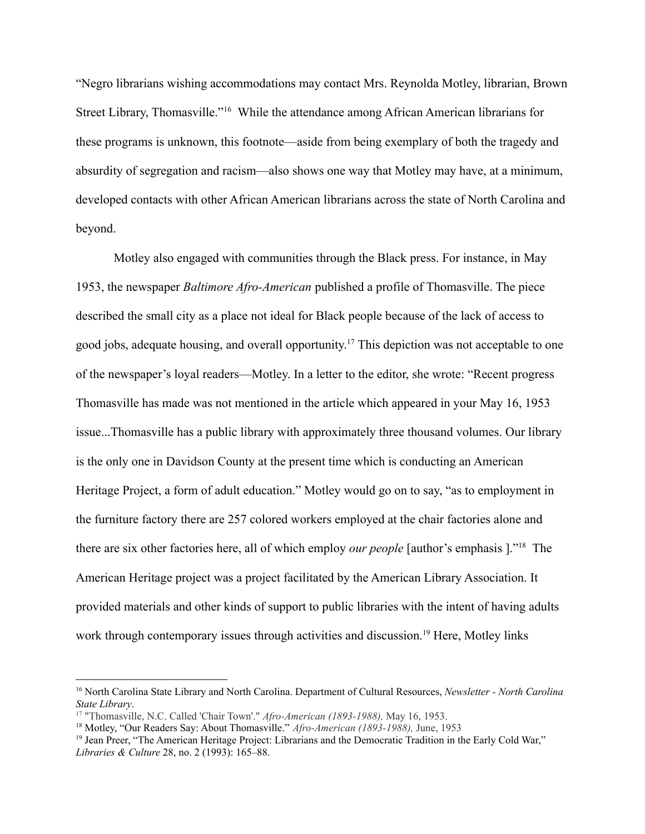"Negro librarians wishing accommodations may contact Mrs. Reynolda Motley, librarian, Brown Street Library, Thomasville."<sup>16</sup> While the attendance among African American librarians for these programs is unknown, this footnote—aside from being exemplary of both the tragedy and absurdity of segregation and racism—also shows one way that Motley may have, at a minimum, developed contacts with other African American librarians across the state of North Carolina and beyond.

Motley also engaged with communities through the Black press. For instance, in May 1953, the newspaper *Baltimore Afro-American* published a profile of Thomasville. The piece described the small city as a place not ideal for Black people because of the lack of access to good jobs, adequate housing, and overall opportunity. <sup>17</sup> This depiction was not acceptable to one of the newspaper's loyal readers—Motley. In a letter to the editor, she wrote: "Recent progress Thomasville has made was not mentioned in the article which appeared in your May 16, 1953 issue...Thomasville has a public library with approximately three thousand volumes. Our library is the only one in Davidson County at the present time which is conducting an American Heritage Project, a form of adult education." Motley would go on to say, "as to employment in the furniture factory there are 257 colored workers employed at the chair factories alone and there are six other factories here, all of which employ *our people* [author's emphasis ]."<sup>18</sup> The American Heritage project was a project facilitated by the American Library Association. It provided materials and other kinds of support to public libraries with the intent of having adults work through contemporary issues through activities and discussion.<sup>19</sup> Here, Motley links

<sup>16</sup> North Carolina State Library and North Carolina. Department of Cultural Resources, *Newsletter - North Carolina State Library*.

<sup>17</sup> "Thomasville, N.C. Called 'Chair Town'." *Afro-American (1893-1988),* May 16, 1953.

<sup>18</sup> Motley, "Our Readers Say: About Thomasville." *Afro-American (1893-1988),* June, 1953

<sup>&</sup>lt;sup>19</sup> Jean Preer, "The American Heritage Project: Librarians and the Democratic Tradition in the Early Cold War," *Libraries & Culture* 28, no. 2 (1993): 165–88.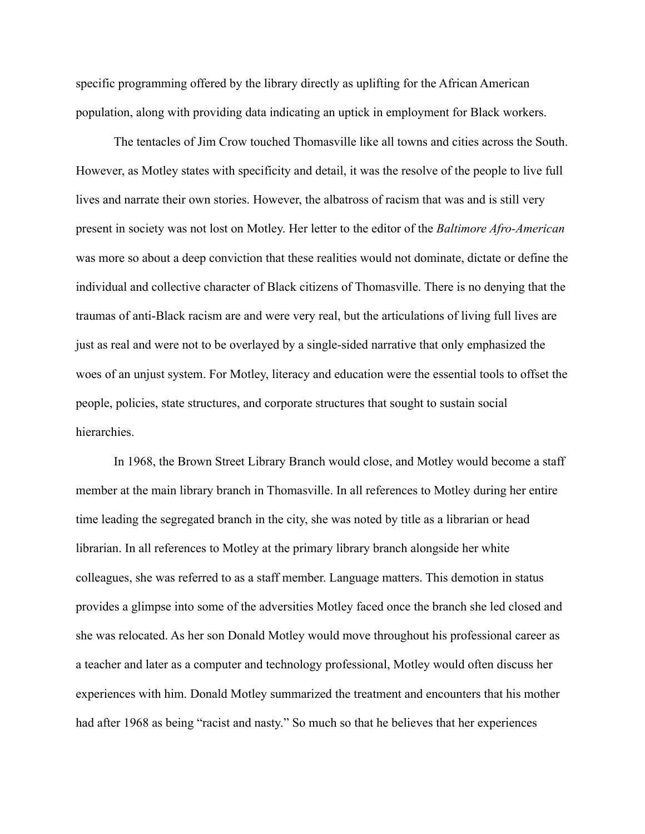specific programming offered by the library directly as uplifting for the African American population, along with providing data indicating an uptick in employment for Black workers.

The tentacles of Jim Crow touched Thomasville like all towns and cities across the South. However, as Motley states with specificity and detail, it was the resolve of the people to live full lives and narrate their own stories. However, the albatross of racism that was and is still very present in society was not lost on Motley. Her letter to the editor of the *Baltimore Afro-American* was more so about a deep conviction that these realities would not dominate, dictate or define the individual and collective character of Black citizens of Thomasville. There is no denying that the traumas of anti-Black racism are and were very real, but the articulations of living full lives are just as real and were not to be overlayed by a single-sided narrative that only emphasized the woes of an unjust system. For Motley, literacy and education were the essential tools to offset the people, policies, state structures, and corporate structures that sought to sustain social hierarchies.

In 1968, the Brown Street Library Branch would close, and Motley would become a staff member at the main library branch in Thomasville. In all references to Motley during her entire time leading the segregated branch in the city, she was noted by title as a librarian or head librarian. In all references to Motley at the primary library branch alongside her white colleagues, she was referred to as a staff member. Language matters. This demotion in status provides a glimpse into some of the adversities Motley faced once the branch she led closed and she was relocated. As her son Donald Motley would move throughout his professional career as a teacher and later as a computer and technology professional, Motley would often discuss her experiences with him. Donald Motley summarized the treatment and encounters that his mother had after 1968 as being "racist and nasty." So much so that he believes that her experiences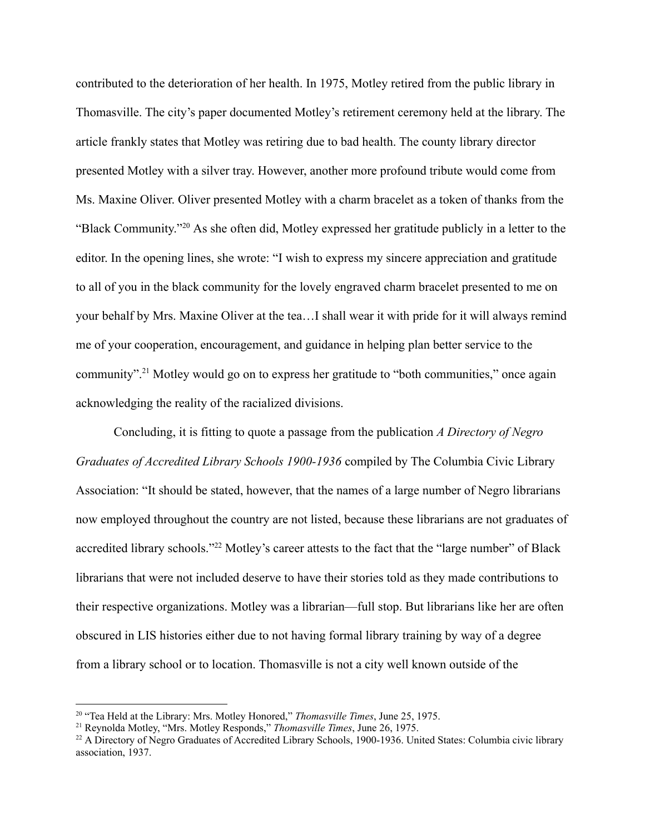contributed to the deterioration of her health. In 1975, Motley retired from the public library in Thomasville. The city's paper documented Motley's retirement ceremony held at the library. The article frankly states that Motley was retiring due to bad health. The county library director presented Motley with a silver tray. However, another more profound tribute would come from Ms. Maxine Oliver. Oliver presented Motley with a charm bracelet as a token of thanks from the "Black Community."<sup>20</sup> As she often did, Motley expressed her gratitude publicly in a letter to the editor. In the opening lines, she wrote: "I wish to express my sincere appreciation and gratitude to all of you in the black community for the lovely engraved charm bracelet presented to me on your behalf by Mrs. Maxine Oliver at the tea…I shall wear it with pride for it will always remind me of your cooperation, encouragement, and guidance in helping plan better service to the community".<sup>21</sup> Motley would go on to express her gratitude to "both communities," once again acknowledging the reality of the racialized divisions.

Concluding, it is fitting to quote a passage from the publication *A Directory of Negro Graduates of Accredited Library Schools 1900-1936* compiled by The Columbia Civic Library Association: "It should be stated, however, that the names of a large number of Negro librarians now employed throughout the country are not listed, because these librarians are not graduates of accredited library schools."<sup>22</sup> Motley's career attests to the fact that the "large number" of Black librarians that were not included deserve to have their stories told as they made contributions to their respective organizations. Motley was a librarian—full stop. But librarians like her are often obscured in LIS histories either due to not having formal library training by way of a degree from a library school or to location. Thomasville is not a city well known outside of the

<sup>20</sup> "Tea Held at the Library: Mrs. Motley Honored," *Thomasville Times*, June 25, 1975.

<sup>21</sup> Reynolda Motley, "Mrs. Motley Responds," *Thomasville Times*, June 26, 1975.

<sup>&</sup>lt;sup>22</sup> A Directory of Negro Graduates of Accredited Library Schools, 1900-1936. United States: Columbia civic library association, 1937.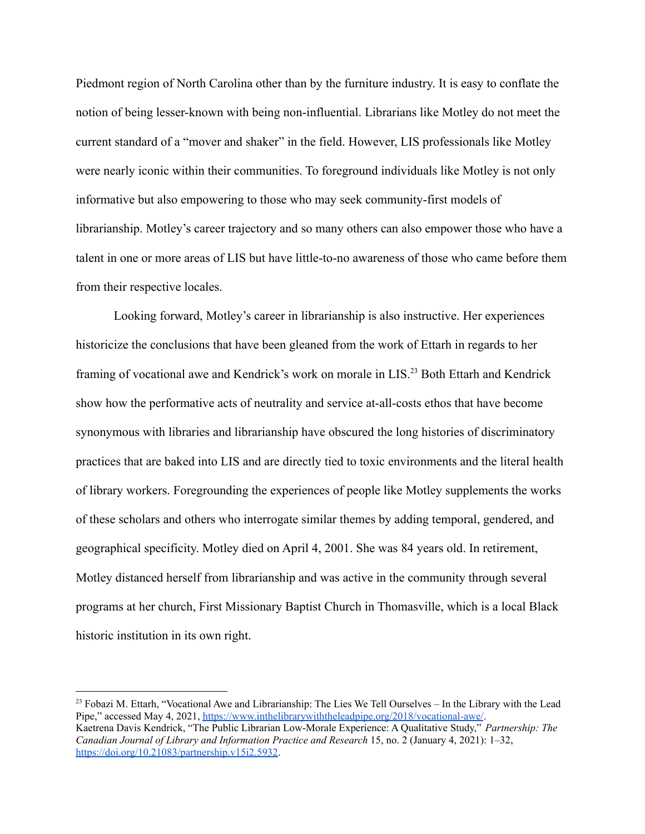Piedmont region of North Carolina other than by the furniture industry. It is easy to conflate the notion of being lesser-known with being non-influential. Librarians like Motley do not meet the current standard of a "mover and shaker" in the field. However, LIS professionals like Motley were nearly iconic within their communities. To foreground individuals like Motley is not only informative but also empowering to those who may seek community-first models of librarianship. Motley's career trajectory and so many others can also empower those who have a talent in one or more areas of LIS but have little-to-no awareness of those who came before them from their respective locales.

Looking forward, Motley's career in librarianship is also instructive. Her experiences historicize the conclusions that have been gleaned from the work of Ettarh in regards to her framing of vocational awe and Kendrick's work on morale in LIS.<sup>23</sup> Both Ettarh and Kendrick show how the performative acts of neutrality and service at-all-costs ethos that have become synonymous with libraries and librarianship have obscured the long histories of discriminatory practices that are baked into LIS and are directly tied to toxic environments and the literal health of library workers. Foregrounding the experiences of people like Motley supplements the works of these scholars and others who interrogate similar themes by adding temporal, gendered, and geographical specificity. Motley died on April 4, 2001. She was 84 years old. In retirement, Motley distanced herself from librarianship and was active in the community through several programs at her church, First Missionary Baptist Church in Thomasville, which is a local Black historic institution in its own right.

<sup>&</sup>lt;sup>23</sup> Fobazi M. Ettarh, "Vocational Awe and Librarianship: The Lies We Tell Ourselves – In the Library with the Lead Pipe," accessed May 4, 2021, <https://www.inthelibrarywiththeleadpipe.org/2018/vocational-awe/>. Kaetrena Davis Kendrick, "The Public Librarian Low-Morale Experience: A Qualitative Study," *Partnership: The Canadian Journal of Library and Information Practice and Research* 15, no. 2 (January 4, 2021): 1–32[,](https://doi.org/10.21083/partnership.v15i2.5932) [https://doi.org/10.21083/partnership.v15i2.5932.](https://doi.org/10.21083/partnership.v15i2.5932)